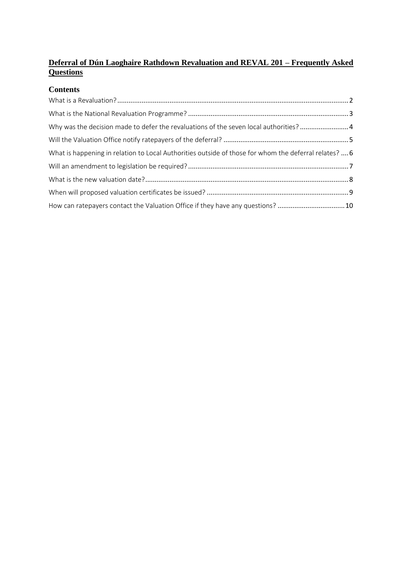#### **Deferral of Dún Laoghaire Rathdown Revaluation and REVAL 201 – Frequently Asked Questions**

#### **Contents**

| Why was the decision made to defer the revaluations of the seven local authorities?4                  |  |
|-------------------------------------------------------------------------------------------------------|--|
|                                                                                                       |  |
| What is happening in relation to Local Authorities outside of those for whom the deferral relates?  6 |  |
|                                                                                                       |  |
|                                                                                                       |  |
|                                                                                                       |  |
| How can ratepayers contact the Valuation Office if they have any questions? 10                        |  |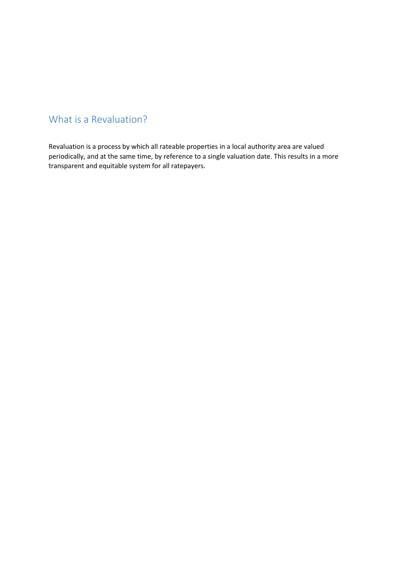#### <span id="page-1-0"></span>What is a Revaluation?

Revaluation is a process by which all rateable properties in a local authority area are valued periodically, and at the same time, by reference to a single valuation date. This results in a more transparent and equitable system for all ratepayers.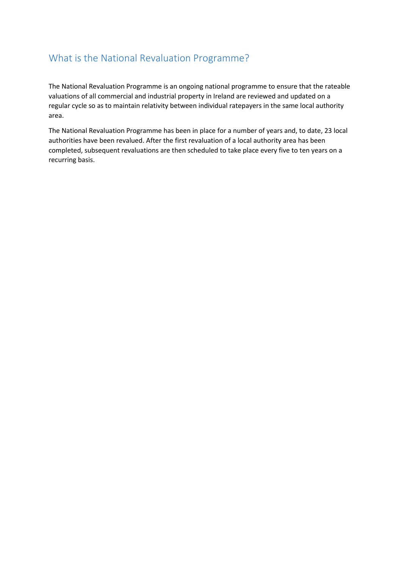#### <span id="page-2-0"></span>What is the National Revaluation Programme?

The National Revaluation Programme is an ongoing national programme to ensure that the rateable valuations of all commercial and industrial property in Ireland are reviewed and updated on a regular cycle so as to maintain relativity between individual ratepayers in the same local authority area.

The National Revaluation Programme has been in place for a number of years and, to date, 23 local authorities have been revalued. After the first revaluation of a local authority area has been completed, subsequent revaluations are then scheduled to take place every five to ten years on a recurring basis.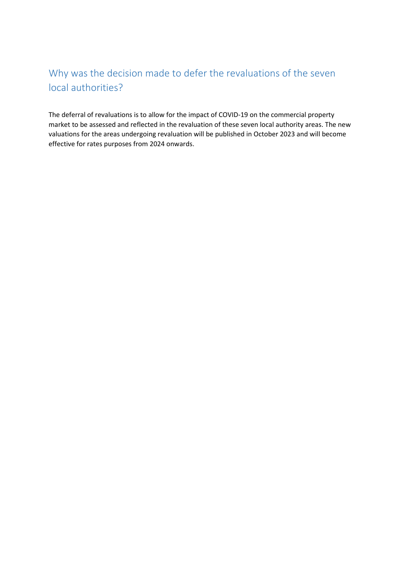## <span id="page-3-0"></span>Why was the decision made to defer the revaluations of the seven local authorities?

The deferral of revaluations is to allow for the impact of COVID-19 on the commercial property market to be assessed and reflected in the revaluation of these seven local authority areas. The new valuations for the areas undergoing revaluation will be published in October 2023 and will become effective for rates purposes from 2024 onwards.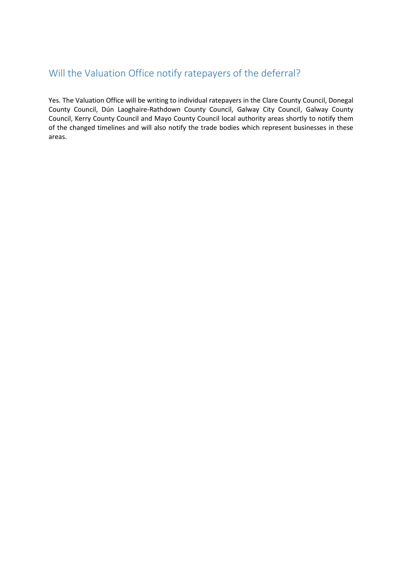#### <span id="page-4-0"></span>Will the Valuation Office notify ratepayers of the deferral?

Yes. The Valuation Office will be writing to individual ratepayers in the Clare County Council, Donegal County Council, Dún Laoghaire-Rathdown County Council, Galway City Council, Galway County Council, Kerry County Council and Mayo County Council local authority areas shortly to notify them of the changed timelines and will also notify the trade bodies which represent businesses in these areas.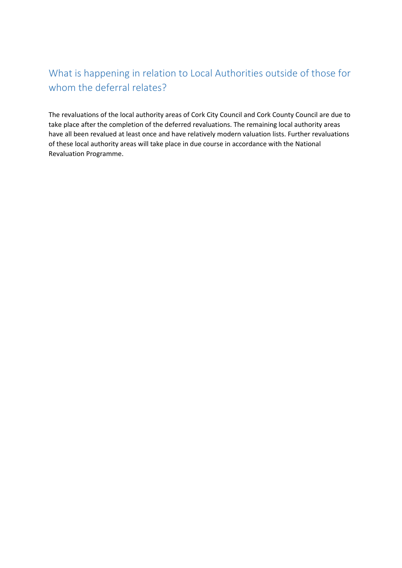## <span id="page-5-0"></span>What is happening in relation to Local Authorities outside of those for whom the deferral relates?

The revaluations of the local authority areas of Cork City Council and Cork County Council are due to take place after the completion of the deferred revaluations. The remaining local authority areas have all been revalued at least once and have relatively modern valuation lists. Further revaluations of these local authority areas will take place in due course in accordance with the National Revaluation Programme.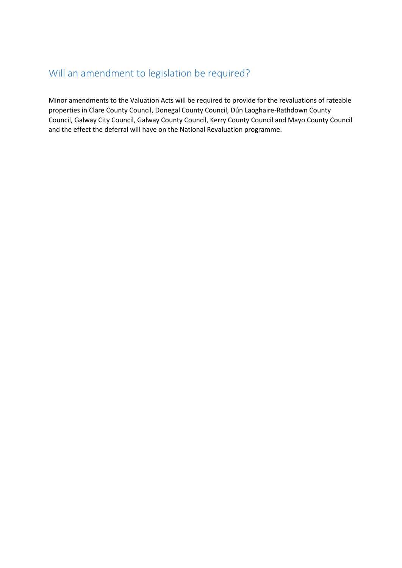### <span id="page-6-0"></span>Will an amendment to legislation be required?

Minor amendments to the Valuation Acts will be required to provide for the revaluations of rateable properties in Clare County Council, Donegal County Council, Dún Laoghaire-Rathdown County Council, Galway City Council, Galway County Council, Kerry County Council and Mayo County Council and the effect the deferral will have on the National Revaluation programme.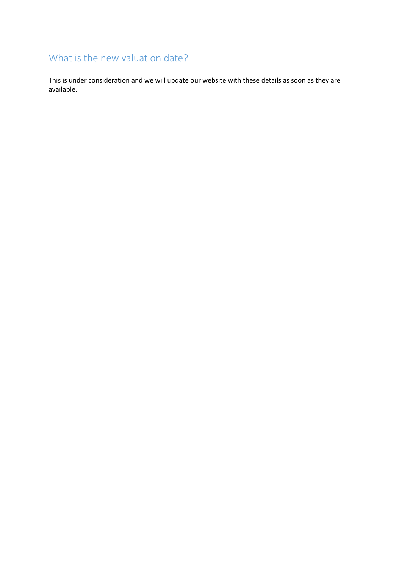# <span id="page-7-0"></span>What is the new valuation date?

This is under consideration and we will update our website with these details as soon as they are available.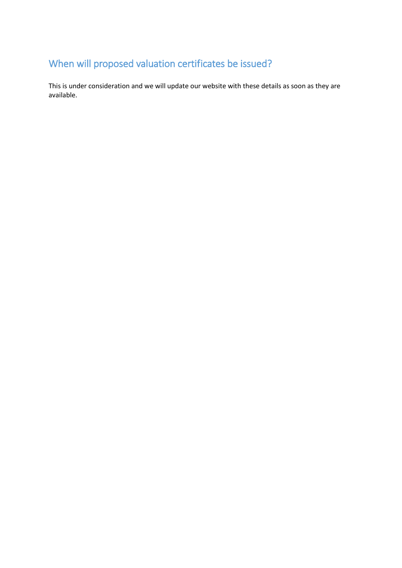# <span id="page-8-0"></span>When will proposed valuation certificates be issued?

This is under consideration and we will update our website with these details as soon as they are available.